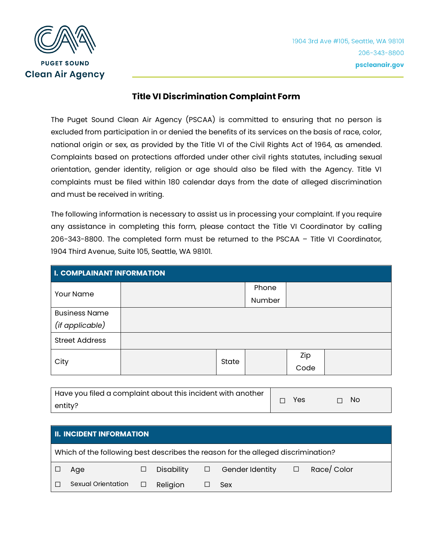

## **Title VI Discrimination Complaint Form**

The Puget Sound Clean Air Agency (PSCAA) is committed to ensuring that no person is excluded from participation in or denied the benefits of its services on the basis of race, color, national origin or sex, as provided by the Title VI of the Civil Rights Act of 1964, as amended. Complaints based on protections afforded under other civil rights statutes, including sexual orientation, gender identity, religion or age should also be filed with the Agency. Title VI complaints must be filed within 180 calendar days from the date of alleged discrimination and must be received in writing.

The following information is necessary to assist us in processing your complaint. If you require any assistance in completing this form, please contact the Title VI Coordinator by calling 206-343-8800. The completed form must be returned to the PSCAA – Title VI Coordinator, 1904 Third Avenue, Suite 105, Seattle, WA 98101.

| <b>I. COMPLAINANT INFORMATION</b> |       |  |        |  |  |  |
|-----------------------------------|-------|--|--------|--|--|--|
| Your Name                         |       |  | Phone  |  |  |  |
|                                   |       |  | Number |  |  |  |
| <b>Business Name</b>              |       |  |        |  |  |  |
| (if applicable)                   |       |  |        |  |  |  |
| <b>Street Address</b>             |       |  |        |  |  |  |
| City                              | State |  | Zip    |  |  |  |
|                                   |       |  | Code   |  |  |  |

| Have you filed a complaint about this incident with another |     |           |
|-------------------------------------------------------------|-----|-----------|
| entity?                                                     | Yes | $\Box$ No |

| <b>II. INCIDENT INFORMATION</b>                                                  |                    |   |            |  |                               |             |
|----------------------------------------------------------------------------------|--------------------|---|------------|--|-------------------------------|-------------|
| Which of the following best describes the reason for the alleged discrimination? |                    |   |            |  |                               |             |
|                                                                                  | Age                | ⊔ | Disability |  | $\Box$ Gender Identity $\Box$ | Race/ Color |
|                                                                                  | Sexual Orientation | □ | Religion   |  | Sex                           |             |